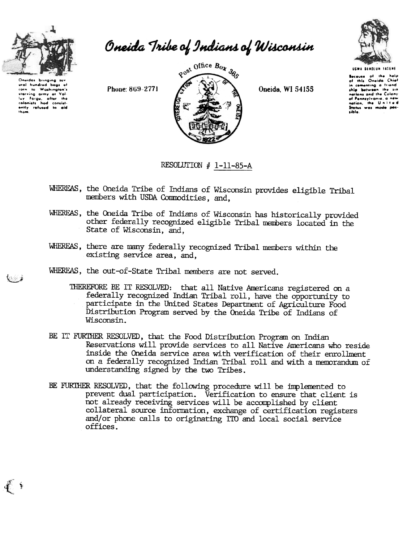

Oneida Tribe of Indians of Wisconsin

ural hundred bags of corn to Washington's starving army at clanists and consistent the fourth of the colonists had consistently refused to aid Phone: 869-2771



Oneida, WI 54155



USWA DENOLUM TATENE **Because of the help**<br>of this Oneida Chief in comenting a friend ship between the six nations and the Colony of Pennsylvania, a new<br>nation, the United le d Status was made possible.

RESOLUTION  $#$  1-11-85-A

- WHEREAS, the Oneida Tribe of Indians of Wisconsin provides eligible Tribal members with USDA Commodities, and.
- WHEREAS, the Oneida Tribe of Indians of Wisconsin has historically provided other federally recognized eligible Tribal members located in the State of Wisconsin, and.
- WHEREAS, there are many federally recognized Tribal members within the existing service area, and.
- WHEREAS, the out-of-State Tribal members are not served.
	- THEREFORE BE IT RESOLVED: that all Native Americans registered on a federally recognized Indian Tribal roll, have the opportunity to participate in the United States Department of Agriculture Food Distribution Program served by the Oneida Tribe of Indians of Wisconsin.
- BE IT FURTHER RESOLVED, that the Food Distribution Program on Indian Reservations will provide services to all Native Americans who reside inside the Oneida service area with verification of their enrollment on a federally recognized Indian Tribal roll and with a memorandum of understanding signed by the two Tribes.
- BE FURTHER RESOLVED, that the following procedure will be implemented to prevent dual participation. Verification to ensure that client is not already receiving services will be accomplished by client collateral source information, exchange of certification registers and/or phone calls to originating ITO and local social service offices.